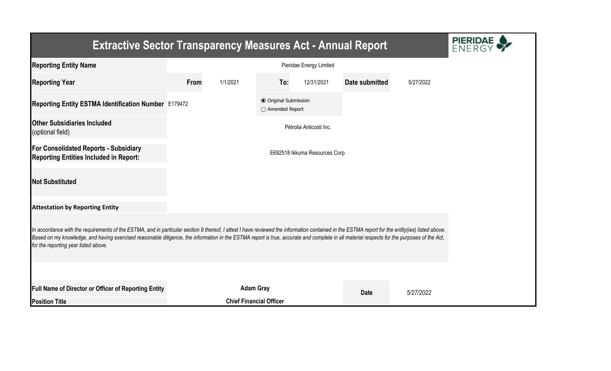| <b>Extractive Sector Transparency Measures Act - Annual Report</b>                                                                                                                                                                                                                                                                                                                                                                    |      |                                |                                                  |                                |                |           |
|---------------------------------------------------------------------------------------------------------------------------------------------------------------------------------------------------------------------------------------------------------------------------------------------------------------------------------------------------------------------------------------------------------------------------------------|------|--------------------------------|--------------------------------------------------|--------------------------------|----------------|-----------|
| <b>Reporting Entity Name</b>                                                                                                                                                                                                                                                                                                                                                                                                          |      |                                |                                                  | Pieridae Energy Limited        |                |           |
| <b>Reporting Year</b>                                                                                                                                                                                                                                                                                                                                                                                                                 | From | 1/1/2021                       | To:                                              | 12/31/2021                     | Date submitted | 5/27/2022 |
| Reporting Entity ESTMA Identification Number E179472                                                                                                                                                                                                                                                                                                                                                                                  |      |                                | <b>◎</b> Original Submission<br>○ Amended Report |                                |                |           |
| <b>Other Subsidiaries Included</b><br>(optional field)                                                                                                                                                                                                                                                                                                                                                                                |      |                                |                                                  | Pétrolia Anticosti Inc.        |                |           |
| <b>For Consolidated Reports - Subsidiary</b><br><b>Reporting Entities Included in Report:</b>                                                                                                                                                                                                                                                                                                                                         |      |                                |                                                  | E692518 Ikkuma Resources Corp. |                |           |
| <b>Not Substituted</b>                                                                                                                                                                                                                                                                                                                                                                                                                |      |                                |                                                  |                                |                |           |
| <b>Attestation by Reporting Entity</b>                                                                                                                                                                                                                                                                                                                                                                                                |      |                                |                                                  |                                |                |           |
| In accordance with the requirements of the ESTMA, and in particular section 9 thereof, I attest I have reviewed the information contained in the ESTMA report for the entity(ies) listed above.<br>Based on my knowledge, and having exercised reasonable diligence, the information in the ESTMA report is true, accurate and complete in all material respects for the purposes of the Act,<br>for the reporting year listed above. |      |                                |                                                  |                                |                |           |
|                                                                                                                                                                                                                                                                                                                                                                                                                                       |      |                                |                                                  |                                |                |           |
| Full Name of Director or Officer of Reporting Entity                                                                                                                                                                                                                                                                                                                                                                                  |      | <b>Adam Gray</b>               |                                                  |                                | <b>Date</b>    | 5/27/2022 |
| <b>Position Title</b>                                                                                                                                                                                                                                                                                                                                                                                                                 |      | <b>Chief Financial Officer</b> |                                                  |                                |                |           |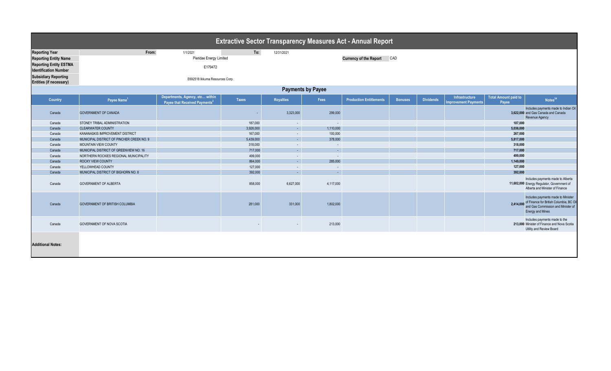| <b>Extractive Sector Transparency Measures Act - Annual Report</b> |                                           |                                                                              |              |                  |           |                                |                |                  |                                                      |                                      |                                                                                                                                                          |  |
|--------------------------------------------------------------------|-------------------------------------------|------------------------------------------------------------------------------|--------------|------------------|-----------|--------------------------------|----------------|------------------|------------------------------------------------------|--------------------------------------|----------------------------------------------------------------------------------------------------------------------------------------------------------|--|
| <b>Reporting Year</b>                                              | From:                                     | 1/1/2021                                                                     | To:          | 12/31/2021       |           |                                |                |                  |                                                      |                                      |                                                                                                                                                          |  |
| <b>Reporting Entity Name</b>                                       |                                           | Pieridae Energy Limited                                                      |              |                  |           | <b>Currency of the Report</b>  | CAD            |                  |                                                      |                                      |                                                                                                                                                          |  |
| <b>Reporting Entity ESTMA</b>                                      |                                           | E179472                                                                      |              |                  |           |                                |                |                  |                                                      |                                      |                                                                                                                                                          |  |
| <b>Identification Number</b>                                       |                                           |                                                                              |              |                  |           |                                |                |                  |                                                      |                                      |                                                                                                                                                          |  |
| <b>Subsidiary Reporting</b><br><b>Entities (if necessary)</b>      | E692518 Ikkuma Resources Corp.            |                                                                              |              |                  |           |                                |                |                  |                                                      |                                      |                                                                                                                                                          |  |
| <b>Payments by Payee</b>                                           |                                           |                                                                              |              |                  |           |                                |                |                  |                                                      |                                      |                                                                                                                                                          |  |
| Country                                                            | Payee Name <sup>1</sup>                   | Departments, Agency, etc within<br>Payee that Received Payments <sup>2</sup> | <b>Taxes</b> | <b>Royalties</b> | Fees      | <b>Production Entitlements</b> | <b>Bonuses</b> | <b>Dividends</b> | <b>Infrastructure</b><br><b>Improvement Payments</b> | <b>Total Amount paid to</b><br>Payee | Notes <sup>34</sup>                                                                                                                                      |  |
| Canada                                                             | <b>GOVERNMENT OF CANADA</b>               |                                                                              |              | 3,323,000        | 299,000   |                                |                |                  |                                                      |                                      | Includes payments made to Indian Oil<br>3,622,000 and Gas Canada and Canada<br>Revenue Agency                                                            |  |
| Canada                                                             | STONEY TRIBAL ADMINISTRATION              |                                                                              | 187,000      | $\sim$           | $\sim$    |                                |                |                  |                                                      | 187,000                              |                                                                                                                                                          |  |
| Canada                                                             | <b>CLEARWATER COUNTY</b>                  |                                                                              | 3,926,000    | $\sim$           | 1,110,000 |                                |                |                  |                                                      | 5,036,000                            |                                                                                                                                                          |  |
| Canada                                                             | KANANASKIS IMPROVEMENT DISTRICT           |                                                                              | 167,000      | $\sim$           | 100,000   |                                |                |                  |                                                      | 267,000                              |                                                                                                                                                          |  |
| Canada                                                             | MUNICIPAL DISTRICT OF PINCHER CREEK NO. 9 |                                                                              | 5,439,000    | $\sim$           | 378,000   |                                |                |                  |                                                      | 5,817,000                            |                                                                                                                                                          |  |
| Canada                                                             | MOUNTAIN VIEW COUNTY                      |                                                                              | 318,000      | $\sim$           | $\sim$    |                                |                |                  |                                                      | 318,000                              |                                                                                                                                                          |  |
| Canada                                                             | MUNICIPAL DISTRICT OF GREENVIEW NO. 16    |                                                                              | 717,000      | $\sim$           | $\sim$    |                                |                |                  |                                                      | 717,000                              |                                                                                                                                                          |  |
| Canada                                                             | NORTHERN ROCKIES REGIONAL MUNICIPALITY    |                                                                              | 499,000      | $\sim$           | $\sim$    |                                |                |                  |                                                      | 499,000                              |                                                                                                                                                          |  |
| Canada                                                             | ROCKY VIEW COUNTY                         |                                                                              | 864,000      | $\sim$           | 285,000   |                                |                |                  |                                                      | 1,149,000                            |                                                                                                                                                          |  |
| Canada                                                             | YELLOWHEAD COUNTY                         |                                                                              | 127,000      | $\sim$           |           |                                |                |                  |                                                      | 127,000                              |                                                                                                                                                          |  |
| Canada                                                             | MUNICIPAL DISTRICT OF BIGHORN NO. 8       |                                                                              | 392,000      | $\sim$           | $\sim$    |                                |                |                  |                                                      | 392.000                              |                                                                                                                                                          |  |
| Canada                                                             | <b>GOVERNMENT OF ALBERTA</b>              |                                                                              | 858,000      | 6,627,000        | 4,117,000 |                                |                |                  |                                                      |                                      | Includes payments made to Alberta<br>11,602,000 Energy Regulator, Government of<br>Alberta and Minister of Finance                                       |  |
| Canada                                                             | <b>GOVERNMENT OF BRITISH COLUMBIA</b>     |                                                                              | 281,000      | 331,000          | 1.802.000 |                                |                |                  |                                                      |                                      | Includes payments made to Minister<br>2,414,000 of Finance for British Columbia, BC Oil<br>and Gas Commission and Minister of<br><b>Energy and Mines</b> |  |
| Canada                                                             | GOVERNMENT OF NOVA SCOTIA                 |                                                                              |              | $\sim$           | 213,000   |                                |                |                  |                                                      |                                      | Includes payments made to the<br>213,000 Minister of Finance and Nova Scotia<br>Utility and Review Board                                                 |  |
| <b>Additional Notes:</b>                                           |                                           |                                                                              |              |                  |           |                                |                |                  |                                                      |                                      |                                                                                                                                                          |  |